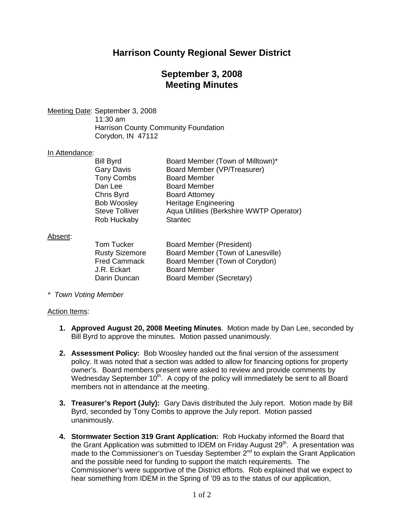# **Harrison County Regional Sewer District**

## **September 3, 2008 Meeting Minutes**

Meeting Date: September 3, 2008

11:30 am Harrison County Community Foundation Corydon, IN 47112

#### In Attendance:

| <b>Bill Byrd</b>      | Board Member (Town of Milltown)*         |
|-----------------------|------------------------------------------|
| <b>Gary Davis</b>     | Board Member (VP/Treasurer)              |
| <b>Tony Combs</b>     | <b>Board Member</b>                      |
| Dan Lee               | <b>Board Member</b>                      |
| Chris Byrd            | <b>Board Attorney</b>                    |
| <b>Bob Woosley</b>    | <b>Heritage Engineering</b>              |
| <b>Steve Tolliver</b> | Aqua Utilities (Berkshire WWTP Operator) |
| <b>Rob Huckaby</b>    | <b>Stantec</b>                           |
|                       |                                          |

### Absent:

| <b>Board Member (President)</b>   |
|-----------------------------------|
| Board Member (Town of Lanesville) |
| Board Member (Town of Corydon)    |
| <b>Board Member</b>               |
| Board Member (Secretary)          |
|                                   |

*\* Town Voting Member*

### Action Items:

- **1. Approved August 20, 2008 Meeting Minutes**. Motion made by Dan Lee, seconded by Bill Byrd to approve the minutes. Motion passed unanimously.
- **2. Assessment Policy:** Bob Woosley handed out the final version of the assessment policy. It was noted that a section was added to allow for financing options for property owner's. Board members present were asked to review and provide comments by Wednesday September  $10<sup>th</sup>$ . A copy of the policy will immediately be sent to all Board members not in attendance at the meeting.
- **3. Treasurer's Report (July):** Gary Davis distributed the July report. Motion made by Bill Byrd, seconded by Tony Combs to approve the July report. Motion passed unanimously.
- **4. Stormwater Section 319 Grant Application:** Rob Huckaby informed the Board that the Grant Application was submitted to IDEM on Friday August 29<sup>th</sup>. A presentation was made to the Commissioner's on Tuesday September  $2^{nd}$  to explain the Grant Application and the possible need for funding to support the match requirements. The Commissioner's were supportive of the District efforts. Rob explained that we expect to hear something from IDEM in the Spring of '09 as to the status of our application,